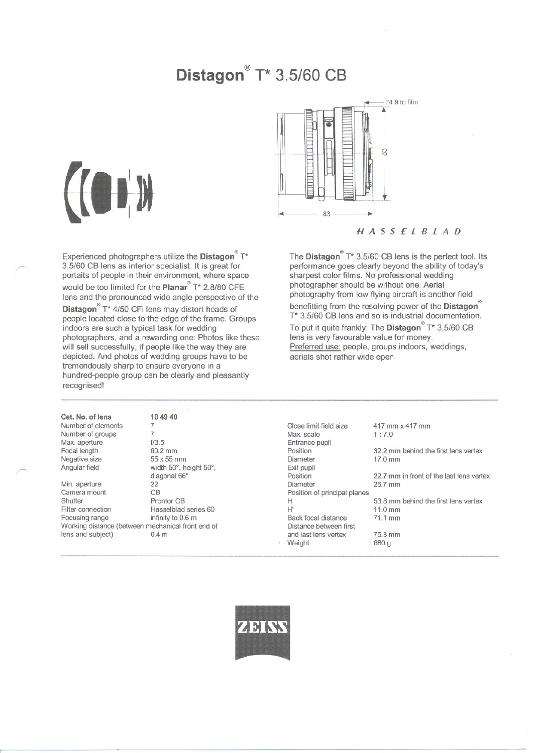# **Distagon@**T\* 3.5/60 CB

~

~

Experienced photographers utilize the **Distagon**  $T^*$ 3.5/60 CB lens as interior specialist. It is great for portaits of people in their environment, where space would be too limited for the Planar T\* 2.8/80 CFE lens and the pronounced wide angle perspective of the **Distagon** $^{\circ}$  T\* 4/50 CFi lens may distort heads of people located Glose to the edge of the frame. Groups indoors are such a typical task for wedding photographers, and a rewarding one: Photos like these will sell successfully, if people like the way they are depicted. And photos of wedding groups have to be tremendously sharp to ensure everyone in a hundred-people group can be clearly and pleasantly recognised!

74.9 to film (") co  $83 \longrightarrow$ ..

# HASSELBLAD

The **Distagon**  $T^*$  3.5/60 CB lens is the perfect tool. Its performance goes clearly beyond the ability of today's sharpest color films. No professional wedding photographer should be without one. Aerial photography from low flying aircraft is another fjeld benefitting from the resolving power of the **Distagon**<sup>®</sup> T\* 3.5/60 CB lens and so is industrial documentation. To put it quite frankly: The **Distagon** T\* 3.5/60 CB lens is very favourable value for money.

Preferred use: people, groups indoors, weddings, aerials shot rather wide open

Cat. No. of lens Number of elements Number of groups Max. aperture Focal length Negative size Angular field

Min. aperture 22<br>Camera mount CB Camera mount Shutter Prontor CB Filter connection Hasselblad series 60 Focusing range infinity to 0.6 m Working distance (between mechanical front end of lens and subject)  $0.4 \text{ m}$ lens and subject)

----------------------

104940 7 7 f/3.5 60.2 mm 55x55 mm width 50°, height 50°, diagonal 66°<br>22

Close limit field size Max. scale Entrance pupil Position Diameter Exit pupil Position Diameter Position of principal planes H H' Back focal distance Distance between first and last lens vertex **Weight** 

417 mm x417 mm 1: 7.0

75.3 mm 680g

32.2 mm behind the first lens vertex 17.0 mm

22.7 mm in front of the last lens vertex 26.7 mm

53.8 mm behind the first lens vertex 11.0mm 71.1 mm

**AN HAY** 

----------------------------------------------------------